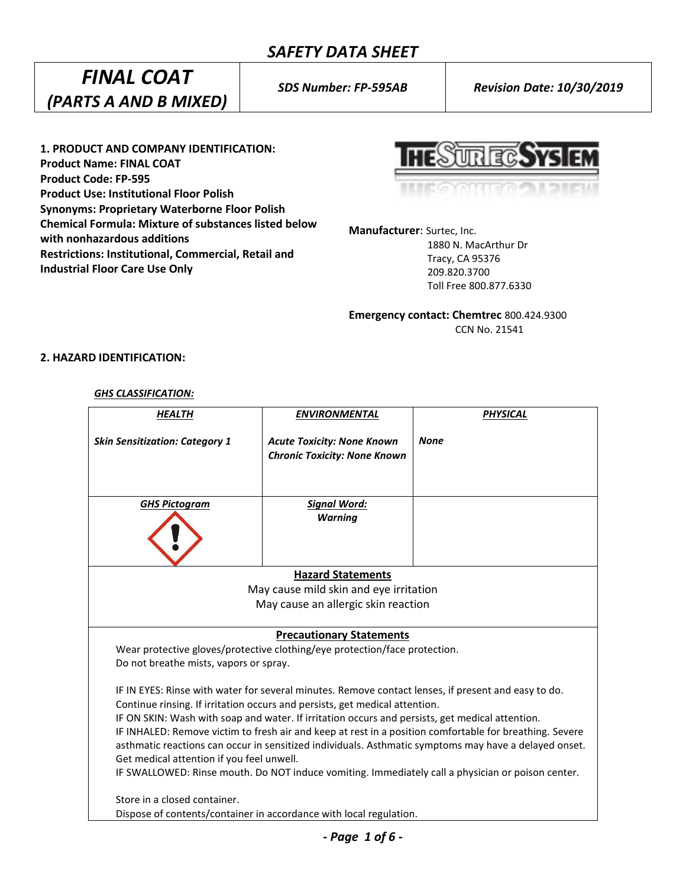## *SAFETY DATA SHEET*

# *FINAL COAT (PARTS A AND B MIXED)*

*SDS Number: FP-595AB Revision Date: 10/30/2019*

**1. PRODUCT AND COMPANY IDENTIFICATION: Product Name: FINAL COAT Product Code: FP-595 Product Use: Institutional Floor Polish Synonyms: Proprietary Waterborne Floor Polish Chemical Formula: Mixture of substances listed below with nonhazardous additions Restrictions: Institutional, Commercial, Retail and Industrial Floor Care Use Only**

**HESUREGSYS EM** 

**Manufacturer**: Surtec, Inc.

 1880 N. MacArthur Dr Tracy, CA 95376 209.820.3700 Toll Free 800.877.6330

**Emergency contact: Chemtrec** 800.424.9300 CCN No. 21541

## **2. HAZARD IDENTIFICATION:**

#### *GHS CLASSIFICATION:*

| <b>HEALTH</b>                                                                                                                                                                                                                                                                                                                                                                                                                                                                                                                                                                                                                                               | <b>ENVIRONMENTAL</b>                                                     | <b>PHYSICAL</b> |  |  |
|-------------------------------------------------------------------------------------------------------------------------------------------------------------------------------------------------------------------------------------------------------------------------------------------------------------------------------------------------------------------------------------------------------------------------------------------------------------------------------------------------------------------------------------------------------------------------------------------------------------------------------------------------------------|--------------------------------------------------------------------------|-----------------|--|--|
| <b>Skin Sensitization: Category 1</b>                                                                                                                                                                                                                                                                                                                                                                                                                                                                                                                                                                                                                       | <b>Acute Toxicity: None Known</b><br><b>Chronic Toxicity: None Known</b> | <b>None</b>     |  |  |
| <b>GHS Pictogram</b>                                                                                                                                                                                                                                                                                                                                                                                                                                                                                                                                                                                                                                        | <b>Signal Word:</b><br><b>Warning</b>                                    |                 |  |  |
| <b>Hazard Statements</b>                                                                                                                                                                                                                                                                                                                                                                                                                                                                                                                                                                                                                                    |                                                                          |                 |  |  |
| May cause mild skin and eye irritation                                                                                                                                                                                                                                                                                                                                                                                                                                                                                                                                                                                                                      |                                                                          |                 |  |  |
| May cause an allergic skin reaction                                                                                                                                                                                                                                                                                                                                                                                                                                                                                                                                                                                                                         |                                                                          |                 |  |  |
| <b>Precautionary Statements</b>                                                                                                                                                                                                                                                                                                                                                                                                                                                                                                                                                                                                                             |                                                                          |                 |  |  |
| Wear protective gloves/protective clothing/eye protection/face protection.<br>Do not breathe mists, vapors or spray.                                                                                                                                                                                                                                                                                                                                                                                                                                                                                                                                        |                                                                          |                 |  |  |
| IF IN EYES: Rinse with water for several minutes. Remove contact lenses, if present and easy to do.<br>Continue rinsing. If irritation occurs and persists, get medical attention.<br>IF ON SKIN: Wash with soap and water. If irritation occurs and persists, get medical attention.<br>IF INHALED: Remove victim to fresh air and keep at rest in a position comfortable for breathing. Severe<br>asthmatic reactions can occur in sensitized individuals. Asthmatic symptoms may have a delayed onset.<br>Get medical attention if you feel unwell.<br>IF SWALLOWED: Rinse mouth. Do NOT induce vomiting. Immediately call a physician or poison center. |                                                                          |                 |  |  |
| Store in a closed container.                                                                                                                                                                                                                                                                                                                                                                                                                                                                                                                                                                                                                                |                                                                          |                 |  |  |
| Dispose of contents/container in accordance with local regulation.                                                                                                                                                                                                                                                                                                                                                                                                                                                                                                                                                                                          |                                                                          |                 |  |  |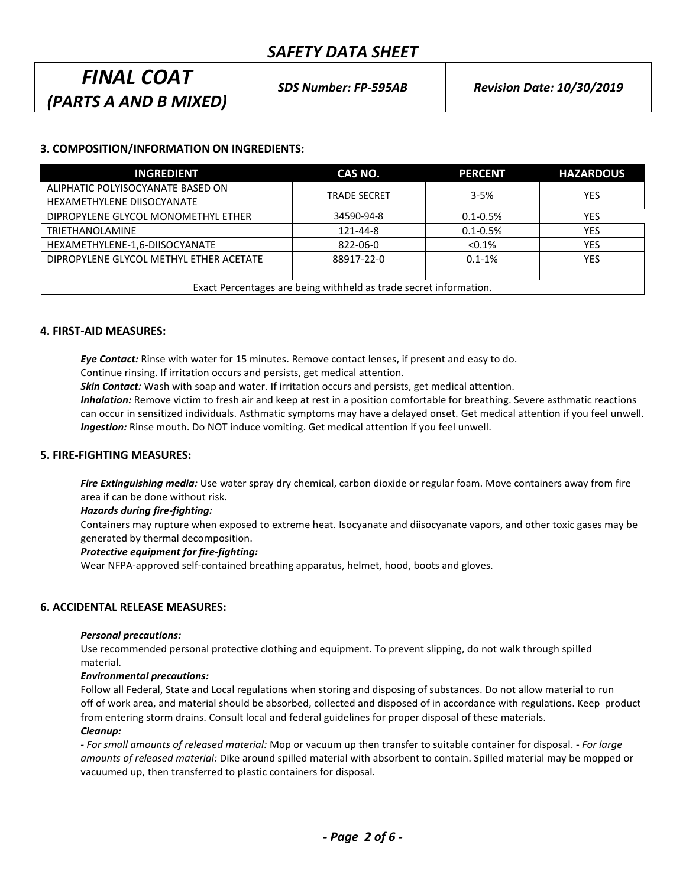## *SAFETY DATA SHEET*

## *FINAL COAT (PARTS A AND B MIXED)*

## **3. COMPOSITION/INFORMATION ON INGREDIENTS:**

| <b>INGREDIENT</b>                                                 | CAS NO.             | <b>PERCENT</b> | <b>HAZARDOUS</b> |
|-------------------------------------------------------------------|---------------------|----------------|------------------|
| ALIPHATIC POLYISOCYANATE BASED ON                                 | <b>TRADE SECRET</b> | $3 - 5%$       | <b>YES</b>       |
| HEXAMETHYLENE DIISOCYANATE                                        |                     |                |                  |
| DIPROPYLENE GLYCOL MONOMETHYL ETHER                               | 34590-94-8          | $0.1 - 0.5%$   | <b>YES</b>       |
| <b>TRIETHANOLAMINE</b>                                            | 121-44-8            | $0.1 - 0.5\%$  | <b>YES</b>       |
| HEXAMETHYLENE-1,6-DIISOCYANATE                                    | 822-06-0            | $< 0.1\%$      | <b>YES</b>       |
| DIPROPYLENE GLYCOL METHYL ETHER ACETATE                           | 88917-22-0          | $0.1 - 1\%$    | <b>YES</b>       |
|                                                                   |                     |                |                  |
| Exact Percentages are being withheld as trade secret information. |                     |                |                  |

#### **4. FIRST-AID MEASURES:**

*Eye Contact:* Rinse with water for 15 minutes. Remove contact lenses, if present and easy to do.

Continue rinsing. If irritation occurs and persists, get medical attention.

*Skin Contact:* Wash with soap and water. If irritation occurs and persists, get medical attention.

*Inhalation:* Remove victim to fresh air and keep at rest in a position comfortable for breathing. Severe asthmatic reactions can occur in sensitized individuals. Asthmatic symptoms may have a delayed onset. Get medical attention if you feel unwell. *Ingestion:* Rinse mouth. Do NOT induce vomiting. Get medical attention if you feel unwell.

## **5. FIRE-FIGHTING MEASURES:**

*Fire Extinguishing media:* Use water spray dry chemical, carbon dioxide or regular foam. Move containers away from fire area if can be done without risk.

#### *Hazards during fire-fighting:*

Containers may rupture when exposed to extreme heat. Isocyanate and diisocyanate vapors, and other toxic gases may be generated by thermal decomposition.

#### *Protective equipment for fire-fighting:*

Wear NFPA-approved self-contained breathing apparatus, helmet, hood, boots and gloves.

## **6. ACCIDENTAL RELEASE MEASURES:**

#### *Personal precautions:*

Use recommended personal protective clothing and equipment. To prevent slipping, do not walk through spilled material.

#### *Environmental precautions:*

Follow all Federal, State and Local regulations when storing and disposing of substances. Do not allow material to run off of work area, and material should be absorbed, collected and disposed of in accordance with regulations. Keep product from entering storm drains. Consult local and federal guidelines for proper disposal of these materials.

## *Cleanup:*

*- For small amounts of released material:* Mop or vacuum up then transfer to suitable container for disposal. - *For large amounts of released material:* Dike around spilled material with absorbent to contain. Spilled material may be mopped or vacuumed up, then transferred to plastic containers for disposal.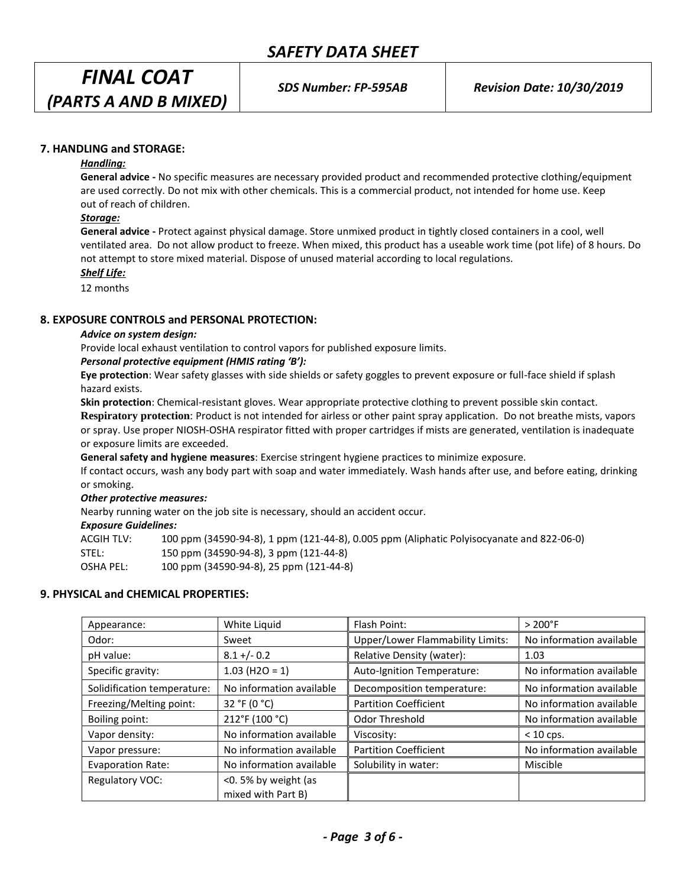*FINAL COAT (PARTS A AND B MIXED)* 

## **7. HANDLING and STORAGE:**

#### *Handling:*

**General advice -** No specific measures are necessary provided product and recommended protective clothing/equipment are used correctly. Do not mix with other chemicals. This is a commercial product, not intended for home use. Keep out of reach of children.

#### *Storage:*

**General advice -** Protect against physical damage. Store unmixed product in tightly closed containers in a cool, well ventilated area. Do not allow product to freeze. When mixed, this product has a useable work time (pot life) of 8 hours. Do not attempt to store mixed material. Dispose of unused material according to local regulations.

*Shelf Life:*

12 months

#### **8. EXPOSURE CONTROLS and PERSONAL PROTECTION:**

#### *Advice on system design:*

Provide local exhaust ventilation to control vapors for published exposure limits.

#### *Personal protective equipment (HMIS rating 'B'):*

**Eye protection**: Wear safety glasses with side shields or safety goggles to prevent exposure or full-face shield if splash hazard exists.

**Skin protection**: Chemical-resistant gloves. Wear appropriate protective clothing to prevent possible skin contact.

**Respiratory protection**: Product is not intended for airless or other paint spray application. Do not breathe mists, vapors or spray. Use proper NIOSH-OSHA respirator fitted with proper cartridges if mists are generated, ventilation is inadequate or exposure limits are exceeded.

**General safety and hygiene measures**: Exercise stringent hygiene practices to minimize exposure.

If contact occurs, wash any body part with soap and water immediately. Wash hands after use, and before eating, drinking or smoking.

#### *Other protective measures:*

Nearby running water on the job site is necessary, should an accident occur.

#### *Exposure Guidelines:*

ACGIH TLV: 100 ppm (34590-94-8), 1 ppm (121-44-8), 0.005 ppm (Aliphatic Polyisocyanate and 822-06-0) STEL: 150 ppm (34590-94-8), 3 ppm (121-44-8) OSHA PEL: 100 ppm (34590-94-8), 25 ppm (121-44-8)

## **9. PHYSICAL and CHEMICAL PROPERTIES:**

| Appearance:                 | White Liquid                              | Flash Point:                            | $> 200°$ F               |
|-----------------------------|-------------------------------------------|-----------------------------------------|--------------------------|
| Odor:                       | Sweet                                     | <b>Upper/Lower Flammability Limits:</b> | No information available |
| pH value:                   | $8.1 + (-0.2)$                            | Relative Density (water):               | 1.03                     |
| Specific gravity:           | $1.03$ (H2O = 1)                          | Auto-Ignition Temperature:              | No information available |
| Solidification temperature: | No information available                  | Decomposition temperature:              | No information available |
| Freezing/Melting point:     | 32 °F (0 °C)                              | <b>Partition Coefficient</b>            | No information available |
| Boiling point:              | 212°F (100 °C)                            | Odor Threshold                          | No information available |
| Vapor density:              | No information available                  | Viscosity:                              | $< 10$ cps.              |
| Vapor pressure:             | No information available                  | <b>Partition Coefficient</b>            | No information available |
| <b>Evaporation Rate:</b>    | No information available                  | Solubility in water:                    | Miscible                 |
| Regulatory VOC:             | <0.5% by weight (as<br>mixed with Part B) |                                         |                          |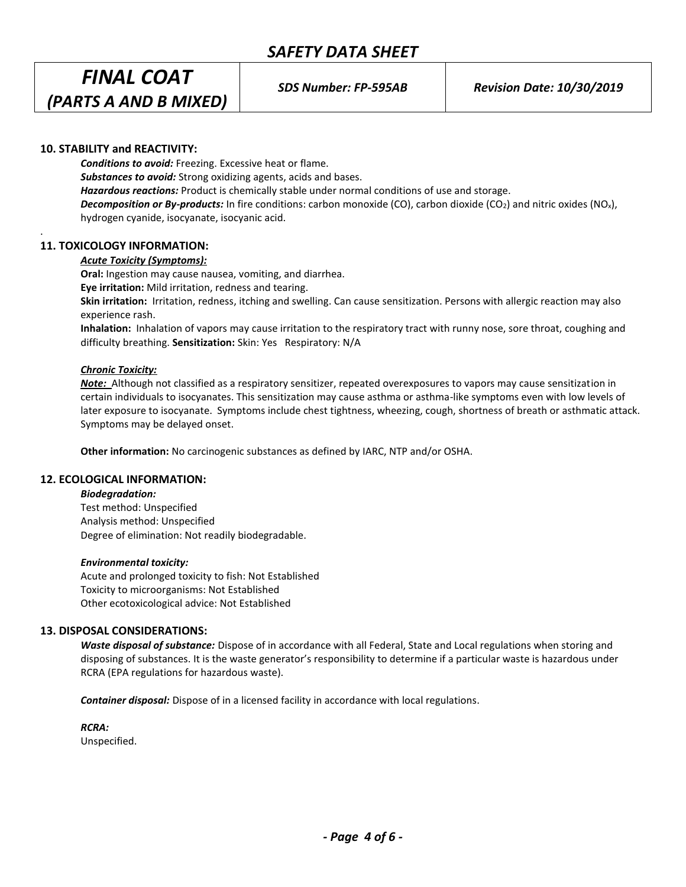# *FINAL COAT (PARTS A AND B MIXED)*

## **10. STABILITY and REACTIVITY:**

*Conditions to avoid:* Freezing. Excessive heat or flame. *Substances to avoid:* Strong oxidizing agents, acids and bases. *Hazardous reactions:* Product is chemically stable under normal conditions of use and storage. *Decomposition or By-products:* In fire conditions: carbon monoxide (CO), carbon dioxide (CO2) and nitric oxides (NOx), hydrogen cyanide, isocyanate, isocyanic acid.

## **11. TOXICOLOGY INFORMATION:**

.

## *Acute Toxicity (Symptoms):*

**Oral:** Ingestion may cause nausea, vomiting, and diarrhea.

**Eye irritation:** Mild irritation, redness and tearing.

**Skin irritation:** Irritation, redness, itching and swelling. Can cause sensitization. Persons with allergic reaction may also experience rash.

**Inhalation:** Inhalation of vapors may cause irritation to the respiratory tract with runny nose, sore throat, coughing and difficulty breathing. **Sensitization:** Skin: Yes Respiratory: N/A

## *Chronic Toxicity:*

*Note:* Although not classified as a respiratory sensitizer, repeated overexposures to vapors may cause sensitization in certain individuals to isocyanates. This sensitization may cause asthma or asthma-like symptoms even with low levels of later exposure to isocyanate. Symptoms include chest tightness, wheezing, cough, shortness of breath or asthmatic attack. Symptoms may be delayed onset.

**Other information:** No carcinogenic substances as defined by IARC, NTP and/or OSHA.

## **12. ECOLOGICAL INFORMATION:**

*Biodegradation:* Test method: Unspecified

Analysis method: Unspecified Degree of elimination: Not readily biodegradable.

## *Environmental toxicity:*

Acute and prolonged toxicity to fish: Not Established Toxicity to microorganisms: Not Established Other ecotoxicological advice: Not Established

## **13. DISPOSAL CONSIDERATIONS:**

*Waste disposal of substance:* Dispose of in accordance with all Federal, State and Local regulations when storing and disposing of substances. It is the waste generator's responsibility to determine if a particular waste is hazardous under RCRA (EPA regulations for hazardous waste).

*Container disposal:* Dispose of in a licensed facility in accordance with local regulations.

*RCRA:* Unspecified.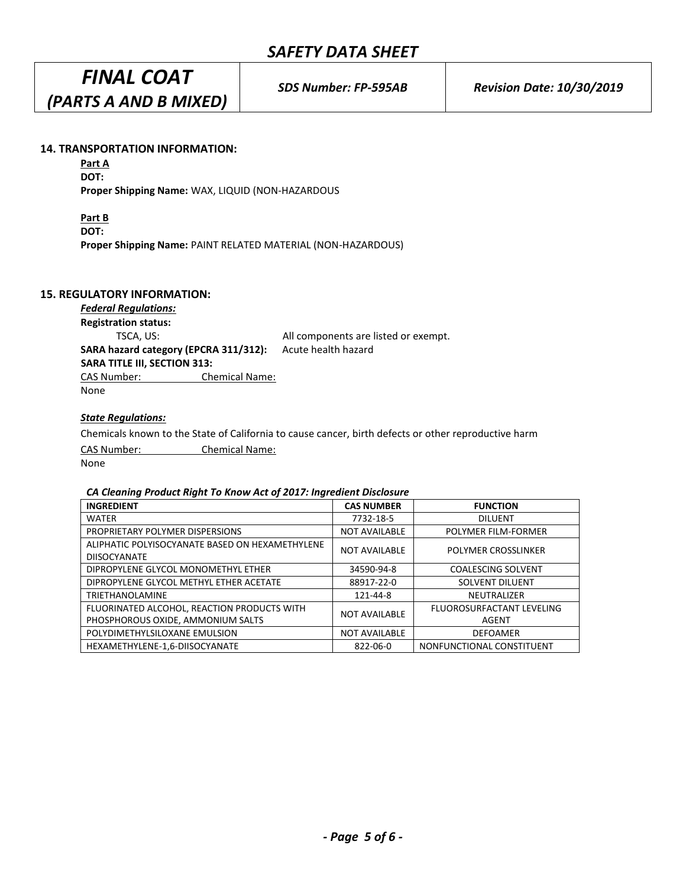*FINAL COAT (PARTS A AND B MIXED)* 

## **14. TRANSPORTATION INFORMATION:**

**Part A DOT:**

**Proper Shipping Name:** WAX, LIQUID (NON-HAZARDOUS

**Part B** 

**DOT:**

**Proper Shipping Name:** PAINT RELATED MATERIAL (NON-HAZARDOUS)

## **15. REGULATORY INFORMATION:**

*Federal Regulations:* **Registration status:** TSCA, US: All components are listed or exempt. **SARA hazard category (EPCRA 311/312):** Acute health hazard **SARA TITLE III, SECTION 313:** CAS Number: Chemical Name: None

## *State Regulations:*

Chemicals known to the State of California to cause cancer, birth defects or other reproductive harm CAS Number: Chemical Name: None

## *CA Cleaning Product Right To Know Act of 2017: Ingredient Disclosure*

| <b>INGREDIENT</b>                               | <b>CAS NUMBER</b>    | <b>FUNCTION</b>            |  |
|-------------------------------------------------|----------------------|----------------------------|--|
| <b>WATER</b>                                    | 7732-18-5            | <b>DILUENT</b>             |  |
| PROPRIETARY POLYMER DISPERSIONS                 | <b>NOT AVAILABLE</b> | <b>POLYMER FILM-FORMER</b> |  |
| ALIPHATIC POLYISOCYANATE BASED ON HEXAMETHYLENE | <b>NOT AVAILABLE</b> | <b>POLYMER CROSSLINKER</b> |  |
| <b>DIISOCYANATE</b>                             |                      |                            |  |
| DIPROPYLENE GLYCOL MONOMETHYL ETHER             | 34590-94-8           | <b>COALESCING SOLVENT</b>  |  |
| DIPROPYLENE GLYCOL METHYL ETHER ACETATE         | 88917-22-0           | <b>SOLVENT DILUENT</b>     |  |
| <b>TRIETHANOLAMINE</b>                          | 121-44-8             | NEUTRALIZER                |  |
| FLUORINATED ALCOHOL, REACTION PRODUCTS WITH     | <b>NOT AVAILABLE</b> | FLUOROSURFACTANT LEVELING  |  |
| PHOSPHOROUS OXIDE, AMMONIUM SALTS               |                      | AGENT                      |  |
| POLYDIMETHYLSILOXANE EMULSION                   | <b>NOT AVAILABLE</b> | <b>DEFOAMER</b>            |  |
| HEXAMETHYLENE-1,6-DIISOCYANATE                  | 822-06-0             | NONFUNCTIONAL CONSTITUENT  |  |